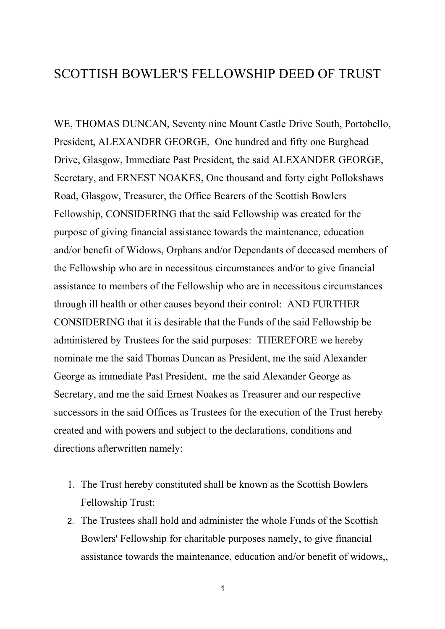## SCOTTISH BOWLER'S FELLOWSHIP DEED OF TRUST

WE, THOMAS DUNCAN, Seventy nine Mount Castle Drive South, Portobello, President, ALEXANDER GEORGE, One hundred and fifty one Burghead Drive, Glasgow, Immediate Past President, the said ALEXANDER GEORGE, Secretary, and ERNEST NOAKES, One thousand and forty eight Pollokshaws Road, Glasgow, Treasurer, the Office Bearers of the Scottish Bowlers Fellowship, CONSIDERING that the said Fellowship was created for the purpose of giving financial assistance towards the maintenance, education and/or benefit of Widows, Orphans and/or Dependants of deceased members of the Fellowship who are in necessitous circumstances and/or to give financial assistance to members of the Fellowship who are in necessitous circumstances through ill health or other causes beyond their control: AND FURTHER CONSIDERING that it is desirable that the Funds of the said Fellowship be administered by Trustees for the said purposes: THEREFORE we hereby nominate me the said Thomas Duncan as President, me the said Alexander George as immediate Past President, me the said Alexander George as Secretary, and me the said Ernest Noakes as Treasurer and our respective successors in the said Offices as Trustees for the execution of the Trust hereby created and with powers and subject to the declarations, conditions and directions afterwritten namely:

- 1. The Trust hereby constituted shall be known as the Scottish Bowlers Fellowship Trust:
- 2. The Trustees shall hold and administer the whole Funds of the Scottish Bowlers' Fellowship for charitable purposes namely, to give financial assistance towards the maintenance, education and/or benefit of widows,,

1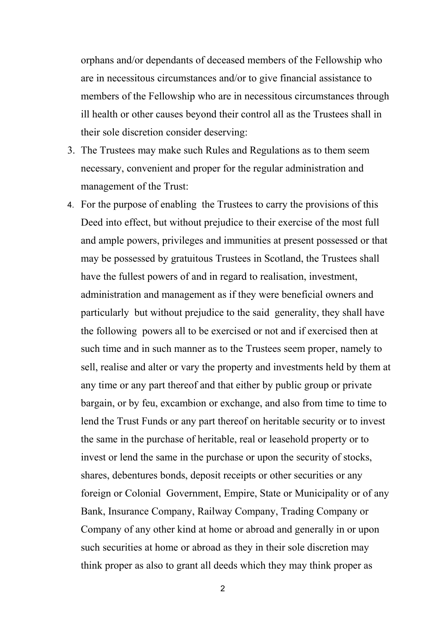orphans and/or dependants of deceased members of the Fellowship who are in necessitous circumstances and/or to give financial assistance to members of the Fellowship who are in necessitous circumstances through ill health or other causes beyond their control all as the Trustees shall in their sole discretion consider deserving:

- 3. The Trustees may make such Rules and Regulations as to them seem necessary, convenient and proper for the regular administration and management of the Trust:
- 4. For the purpose of enabling the Trustees to carry the provisions of this Deed into effect, but without prejudice to their exercise of the most full and ample powers, privileges and immunities at present possessed or that may be possessed by gratuitous Trustees in Scotland, the Trustees shall have the fullest powers of and in regard to realisation, investment, administration and management as if they were beneficial owners and particularly but without prejudice to the said generality, they shall have the following powers all to be exercised or not and if exercised then at such time and in such manner as to the Trustees seem proper, namely to sell, realise and alter or vary the property and investments held by them at any time or any part thereof and that either by public group or private bargain, or by feu, excambion or exchange, and also from time to time to lend the Trust Funds or any part thereof on heritable security or to invest the same in the purchase of heritable, real or leasehold property or to invest or lend the same in the purchase or upon the security of stocks, shares, debentures bonds, deposit receipts or other securities or any foreign or Colonial Government, Empire, State or Municipality or of any Bank, Insurance Company, Railway Company, Trading Company or Company of any other kind at home or abroad and generally in or upon such securities at home or abroad as they in their sole discretion may think proper as also to grant all deeds which they may think proper as

2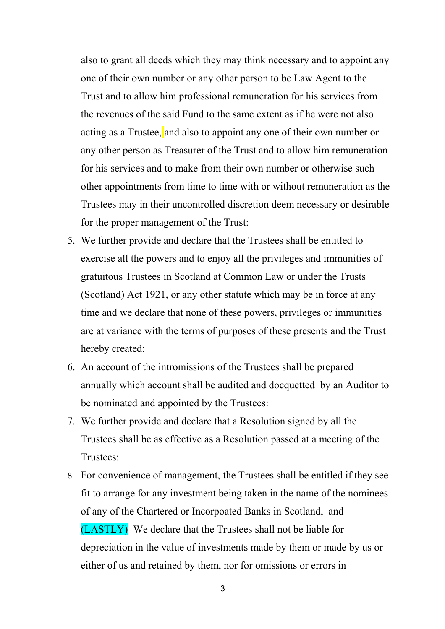also to grant all deeds which they may think necessary and to appoint any one of their own number or any other person to be Law Agent to the Trust and to allow him professional remuneration for his services from the revenues of the said Fund to the same extent as if he were not also acting as a Trustee, and also to appoint any one of their own number or any other person as Treasurer of the Trust and to allow him remuneration for his services and to make from their own number or otherwise such other appointments from time to time with or without remuneration as the Trustees may in their uncontrolled discretion deem necessary or desirable for the proper management of the Trust:

- 5. We further provide and declare that the Trustees shall be entitled to exercise all the powers and to enjoy all the privileges and immunities of gratuitous Trustees in Scotland at Common Law or under the Trusts (Scotland) Act 1921, or any other statute which may be in force at any time and we declare that none of these powers, privileges or immunities are at variance with the terms of purposes of these presents and the Trust hereby created:
- 6. An account of the intromissions of the Trustees shall be prepared annually which account shall be audited and docquetted by an Auditor to be nominated and appointed by the Trustees:
- 7. We further provide and declare that a Resolution signed by all the Trustees shall be as effective as a Resolution passed at a meeting of the Trustees:
- 8. For convenience of management, the Trustees shall be entitled if they see fit to arrange for any investment being taken in the name of the nominees of any of the Chartered or Incorpoated Banks in Scotland, and (LASTLY) We declare that the Trustees shall not be liable for depreciation in the value of investments made by them or made by us or either of us and retained by them, nor for omissions or errors in

3